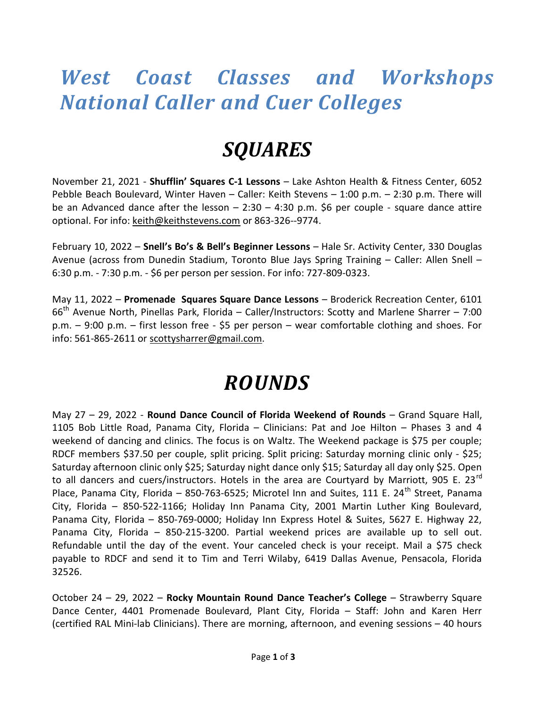### West Coast Classes and Workshops National Caller and Cuer Colleges

## SQUARES

November 21, 2021 - Shufflin' Squares C-1 Lessons - Lake Ashton Health & Fitness Center, 6052 Pebble Beach Boulevard, Winter Haven – Caller: Keith Stevens – 1:00 p.m. – 2:30 p.m. There will be an Advanced dance after the lesson  $-2:30 - 4:30$  p.m. \$6 per couple - square dance attire optional. For info: keith@keithstevens.com or 863-326--9774.

February 10, 2022 - Snell's Bo's & Bell's Beginner Lessons - Hale Sr. Activity Center, 330 Douglas Avenue (across from Dunedin Stadium, Toronto Blue Jays Spring Training – Caller: Allen Snell – 6:30 p.m. - 7:30 p.m. - \$6 per person per session. For info: 727-809-0323.

May 11, 2022 - Promenade Squares Square Dance Lessons - Broderick Recreation Center, 6101  $66<sup>th</sup>$  Avenue North, Pinellas Park, Florida – Caller/Instructors: Scotty and Marlene Sharrer – 7:00 p.m. – 9:00 p.m. – first lesson free - \$5 per person – wear comfortable clothing and shoes. For info: 561-865-2611 or scottysharrer@gmail.com.

## ROUNDS

May 27 – 29, 2022 - Round Dance Council of Florida Weekend of Rounds – Grand Square Hall, 1105 Bob Little Road, Panama City, Florida – Clinicians: Pat and Joe Hilton – Phases 3 and 4 weekend of dancing and clinics. The focus is on Waltz. The Weekend package is \$75 per couple; RDCF members \$37.50 per couple, split pricing. Split pricing: Saturday morning clinic only - \$25; Saturday afternoon clinic only \$25; Saturday night dance only \$15; Saturday all day only \$25. Open to all dancers and cuers/instructors. Hotels in the area are Courtyard by Marriott, 905 E. 23<sup>rd</sup> Place, Panama City, Florida - 850-763-6525; Microtel Inn and Suites, 111 E. 24<sup>th</sup> Street. Panama City, Florida – 850-522-1166; Holiday Inn Panama City, 2001 Martin Luther King Boulevard, Panama City, Florida – 850-769-0000; Holiday Inn Express Hotel & Suites, 5627 E. Highway 22, Panama City, Florida – 850-215-3200. Partial weekend prices are available up to sell out. Refundable until the day of the event. Your canceled check is your receipt. Mail a \$75 check payable to RDCF and send it to Tim and Terri Wilaby, 6419 Dallas Avenue, Pensacola, Florida 32526.

October 24 – 29, 2022 – Rocky Mountain Round Dance Teacher's College – Strawberry Square Dance Center, 4401 Promenade Boulevard, Plant City, Florida – Staff: John and Karen Herr (certified RAL Mini-lab Clinicians). There are morning, afternoon, and evening sessions – 40 hours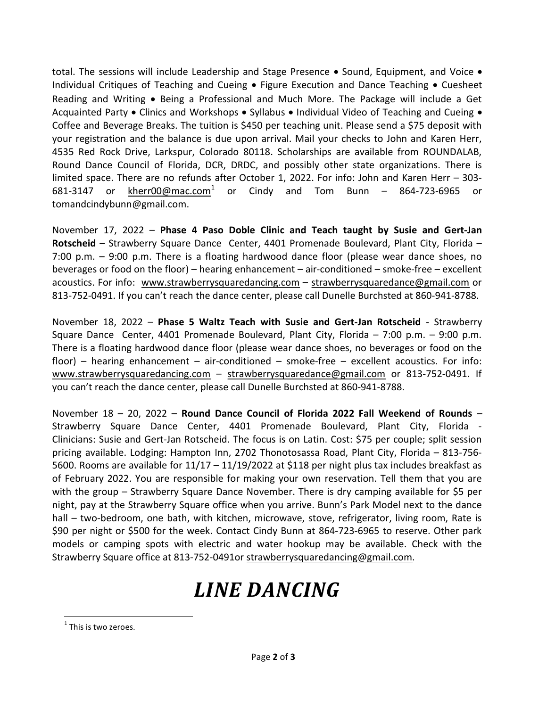total. The sessions will include Leadership and Stage Presence  $\bullet$  Sound, Equipment, and Voice  $\bullet$ Individual Critiques of Teaching and Cueing  $\bullet$  Figure Execution and Dance Teaching  $\bullet$  Cuesheet Reading and Writing • Being a Professional and Much More. The Package will include a Get Acquainted Party  $\bullet$  Clinics and Workshops  $\bullet$  Syllabus  $\bullet$  Individual Video of Teaching and Cueing  $\bullet$ Coffee and Beverage Breaks. The tuition is \$450 per teaching unit. Please send a \$75 deposit with your registration and the balance is due upon arrival. Mail your checks to John and Karen Herr, 4535 Red Rock Drive, Larkspur, Colorado 80118. Scholarships are available from ROUNDALAB, Round Dance Council of Florida, DCR, DRDC, and possibly other state organizations. There is limited space. There are no refunds after October 1, 2022. For info: John and Karen Herr – 303- 681-3147 or kherr00@mac.com $1$  or Cindy and Tom Bunn – 864-723-6965 or tomandcindybunn@gmail.com.

November 17, 2022 – Phase 4 Paso Doble Clinic and Teach taught by Susie and Gert-Jan Rotscheid – Strawberry Square Dance Center, 4401 Promenade Boulevard, Plant City, Florida – 7:00 p.m. – 9:00 p.m. There is a floating hardwood dance floor (please wear dance shoes, no beverages or food on the floor) – hearing enhancement – air-conditioned – smoke-free – excellent acoustics. For info: www.strawberrysquaredancing.com – strawberrysquaredance@gmail.com or 813-752-0491. If you can't reach the dance center, please call Dunelle Burchsted at 860-941-8788.

November 18, 2022 – Phase 5 Waltz Teach with Susie and Gert-Jan Rotscheid - Strawberry Square Dance Center, 4401 Promenade Boulevard, Plant City, Florida – 7:00 p.m. – 9:00 p.m. There is a floating hardwood dance floor (please wear dance shoes, no beverages or food on the floor) – hearing enhancement – air-conditioned – smoke-free – excellent acoustics. For info: www.strawberrysquaredancing.com – strawberrysquaredance@gmail.com or 813-752-0491. If you can't reach the dance center, please call Dunelle Burchsted at 860-941-8788.

November  $18 - 20$ , 2022 – Round Dance Council of Florida 2022 Fall Weekend of Rounds – Strawberry Square Dance Center, 4401 Promenade Boulevard, Plant City, Florida - Clinicians: Susie and Gert-Jan Rotscheid. The focus is on Latin. Cost: \$75 per couple; split session pricing available. Lodging: Hampton Inn, 2702 Thonotosassa Road, Plant City, Florida – 813-756- 5600. Rooms are available for 11/17 – 11/19/2022 at \$118 per night plus tax includes breakfast as of February 2022. You are responsible for making your own reservation. Tell them that you are with the group – Strawberry Square Dance November. There is dry camping available for \$5 per night, pay at the Strawberry Square office when you arrive. Bunn's Park Model next to the dance hall – two-bedroom, one bath, with kitchen, microwave, stove, refrigerator, living room, Rate is \$90 per night or \$500 for the week. Contact Cindy Bunn at 864-723-6965 to reserve. Other park models or camping spots with electric and water hookup may be available. Check with the Strawberry Square office at 813-752-0491or strawberrysquaredancing@gmail.com.

#### LINE DANCING

 $\overline{a}$ 

 $1$  This is two zeroes.